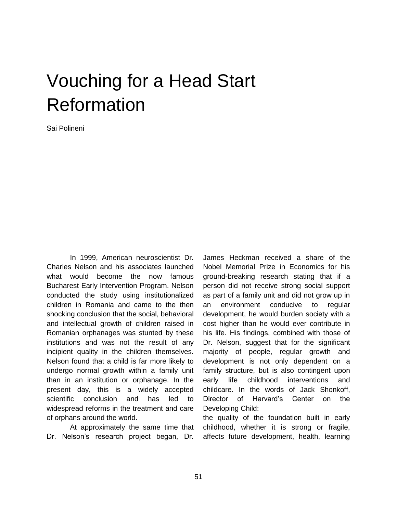## Vouching for a Head Start Reformation

Sai Polineni

In 1999, American neuroscientist Dr. Charles Nelson and his associates launched what would become the now famous Bucharest Early Intervention Program. Nelson conducted the study using institutionalized children in Romania and came to the then shocking conclusion that the social, behavioral and intellectual growth of children raised in Romanian orphanages was stunted by these institutions and was not the result of any incipient quality in the children themselves. Nelson found that a child is far more likely to undergo normal growth within a family unit than in an institution or orphanage. In the present day, this is a widely accepted scientific conclusion and has led to widespread reforms in the treatment and care of orphans around the world.

At approximately the same time that Dr. Nelson's research project began, Dr.

James Heckman received a share of the Nobel Memorial Prize in Economics for his ground-breaking research stating that if a person did not receive strong social support as part of a family unit and did not grow up in an environment conducive to regular development, he would burden society with a cost higher than he would ever contribute in his life. His findings, combined with those of Dr. Nelson, suggest that for the significant majority of people, regular growth and development is not only dependent on a family structure, but is also contingent upon early life childhood interventions and childcare. In the words of Jack Shonkoff, Director of Harvard's Center on the Developing Child:

the quality of the foundation built in early childhood, whether it is strong or fragile, affects future development, health, learning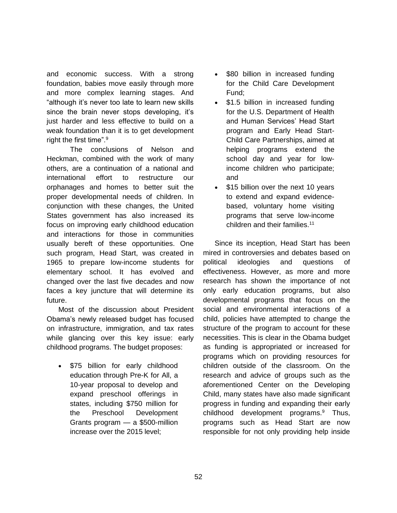and economic success. With a strong foundation, babies move easily through more and more complex learning stages. And "although it's never too late to learn new skills since the brain never stops developing, it's just harder and less effective to build on a weak foundation than it is to get development right the first time".<sup>9</sup>

The conclusions of Nelson and Heckman, combined with the work of many others, are a continuation of a national and international effort to restructure our orphanages and homes to better suit the proper developmental needs of children. In conjunction with these changes, the United States government has also increased its focus on improving early childhood education and interactions for those in communities usually bereft of these opportunities. One such program, Head Start, was created in 1965 to prepare low-income students for elementary school. It has evolved and changed over the last five decades and now faces a key juncture that will determine its future.

Most of the discussion about President Obama's newly released budget has focused on infrastructure, immigration, and tax rates while glancing over this key issue: early childhood programs. The budget proposes:

• \$75 billion for early childhood education through Pre-K for All, a 10-year proposal to develop and expand preschool offerings in states, including \$750 million for the Preschool Development Grants program — a \$500-million increase over the 2015 level;

- \$80 billion in increased funding for the Child Care Development Fund;
- \$1.5 billion in increased funding for the U.S. Department of Health and Human Services' Head Start program and Early Head Start-Child Care Partnerships, aimed at helping programs extend the school day and year for lowincome children who participate; and
- \$15 billion over the next 10 years to extend and expand evidencebased, voluntary home visiting programs that serve low-income children and their families.<sup>11</sup>

Since its inception, Head Start has been mired in controversies and debates based on political ideologies and questions of effectiveness. However, as more and more research has shown the importance of not only early education programs, but also developmental programs that focus on the social and environmental interactions of a child, policies have attempted to change the structure of the program to account for these necessities. This is clear in the Obama budget as funding is appropriated or increased for programs which on providing resources for children outside of the classroom. On the research and advice of groups such as the aforementioned Center on the Developing Child, many states have also made significant progress in funding and expanding their early childhood development programs.<sup>9</sup> Thus, programs such as Head Start are now responsible for not only providing help inside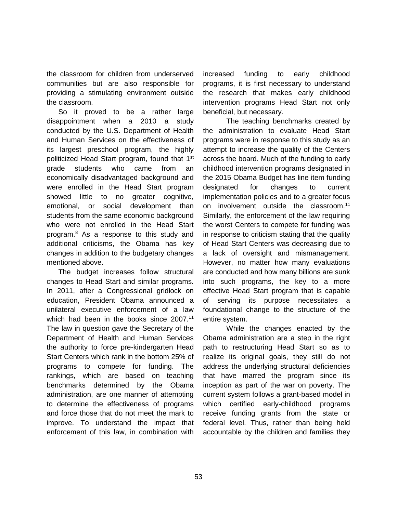the classroom for children from underserved communities but are also responsible for providing a stimulating environment outside the classroom.

So it proved to be a rather large disappointment when a 2010 a study conducted by the U.S. Department of Health and Human Services on the effectiveness of its largest preschool program, the highly politicized Head Start program, found that 1st grade students who came from an economically disadvantaged background and were enrolled in the Head Start program showed little to no greater cognitive, emotional, or social development than students from the same economic background who were not enrolled in the Head Start program.<sup>8</sup> As a response to this study and additional criticisms, the Obama has key changes in addition to the budgetary changes mentioned above.

The budget increases follow structural changes to Head Start and similar programs. In 2011, after a Congressional gridlock on education, President Obama announced a unilateral executive enforcement of a law which had been in the books since  $2007$ .<sup>11</sup> The law in question gave the Secretary of the Department of Health and Human Services the authority to force pre-kindergarten Head Start Centers which rank in the bottom 25% of programs to compete for funding. The rankings, which are based on teaching benchmarks determined by the Obama administration, are one manner of attempting to determine the effectiveness of programs and force those that do not meet the mark to improve. To understand the impact that enforcement of this law, in combination with increased funding to early childhood programs, it is first necessary to understand the research that makes early childhood intervention programs Head Start not only beneficial, but necessary.

The teaching benchmarks created by the administration to evaluate Head Start programs were in response to this study as an attempt to increase the quality of the Centers across the board. Much of the funding to early childhood intervention programs designated in the 2015 Obama Budget has line item funding designated for changes to current implementation policies and to a greater focus on involvement outside the classroom.<sup>11</sup> Similarly, the enforcement of the law requiring the worst Centers to compete for funding was in response to criticism stating that the quality of Head Start Centers was decreasing due to a lack of oversight and mismanagement. However, no matter how many evaluations are conducted and how many billions are sunk into such programs, the key to a more effective Head Start program that is capable of serving its purpose necessitates a foundational change to the structure of the entire system.

While the changes enacted by the Obama administration are a step in the right path to restructuring Head Start so as to realize its original goals, they still do not address the underlying structural deficiencies that have marred the program since its inception as part of the war on poverty. The current system follows a grant-based model in which certified early-childhood programs receive funding grants from the state or federal level. Thus, rather than being held accountable by the children and families they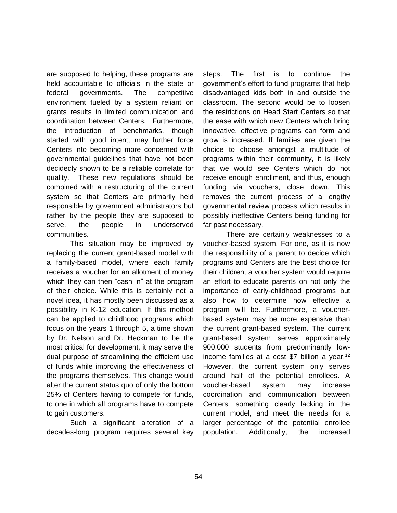are supposed to helping, these programs are held accountable to officials in the state or federal governments. The competitive environment fueled by a system reliant on grants results in limited communication and coordination between Centers. Furthermore, the introduction of benchmarks, though started with good intent, may further force Centers into becoming more concerned with governmental guidelines that have not been decidedly shown to be a reliable correlate for quality. These new regulations should be combined with a restructuring of the current system so that Centers are primarily held responsible by government administrators but rather by the people they are supposed to serve, the people in underserved communities.

This situation may be improved by replacing the current grant-based model with a family-based model, where each family receives a voucher for an allotment of money which they can then "cash in" at the program of their choice. While this is certainly not a novel idea, it has mostly been discussed as a possibility in K-12 education. If this method can be applied to childhood programs which focus on the years 1 through 5, a time shown by Dr. Nelson and Dr. Heckman to be the most critical for development, it may serve the dual purpose of streamlining the efficient use of funds while improving the effectiveness of the programs themselves. This change would alter the current status quo of only the bottom 25% of Centers having to compete for funds, to one in which all programs have to compete to gain customers.

Such a significant alteration of a decades-long program requires several key steps. The first is to continue the government's effort to fund programs that help disadvantaged kids both in and outside the classroom. The second would be to loosen the restrictions on Head Start Centers so that the ease with which new Centers which bring innovative, effective programs can form and grow is increased. If families are given the choice to choose amongst a multitude of programs within their community, it is likely that we would see Centers which do not receive enough enrollment, and thus, enough funding via vouchers, close down. This removes the current process of a lengthy governmental review process which results in possibly ineffective Centers being funding for far past necessary.

There are certainly weaknesses to a voucher-based system. For one, as it is now the responsibility of a parent to decide which programs and Centers are the best choice for their children, a voucher system would require an effort to educate parents on not only the importance of early-childhood programs but also how to determine how effective a program will be. Furthermore, a voucherbased system may be more expensive than the current grant-based system. The current grant-based system serves approximately 900,000 students from predominantly lowincome families at a cost \$7 billion a year.<sup>12</sup> However, the current system only serves around half of the potential enrollees. A voucher-based system may increase coordination and communication between Centers, something clearly lacking in the current model, and meet the needs for a larger percentage of the potential enrollee population. Additionally, the increased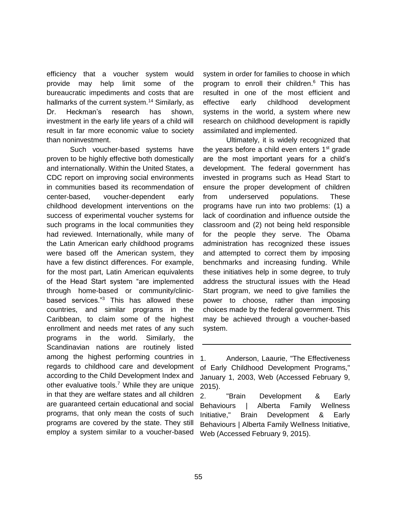efficiency that a voucher system would provide may help limit some of the bureaucratic impediments and costs that are hallmarks of the current system.<sup>14</sup> Similarly, as Dr. Heckman's research has shown, investment in the early life years of a child will result in far more economic value to society than noninvestment.

Such voucher-based systems have proven to be highly effective both domestically and internationally. Within the United States, a CDC report on improving social environments in communities based its recommendation of center-based, voucher-dependent early childhood development interventions on the success of experimental voucher systems for such programs in the local communities they had reviewed. Internationally, while many of the Latin American early childhood programs were based off the American system, they have a few distinct differences. For example, for the most part, Latin American equivalents of the Head Start system "are implemented through home-based or community/clinicbased services."<sup>3</sup> This has allowed these countries, and similar programs in the Caribbean, to claim some of the highest enrollment and needs met rates of any such programs in the world. Similarly, the Scandinavian nations are routinely listed among the highest performing countries in regards to childhood care and development according to the Child Development Index and other evaluative tools.<sup>7</sup> While they are unique in that they are welfare states and all children are guaranteed certain educational and social programs, that only mean the costs of such programs are covered by the state. They still employ a system similar to a voucher-based system in order for families to choose in which program to enroll their children.<sup>6</sup> This has resulted in one of the most efficient and effective early childhood development systems in the world, a system where new research on childhood development is rapidly assimilated and implemented.

Ultimately, it is widely recognized that the years before a child even enters  $1<sup>st</sup>$  grade are the most important years for a child's development. The federal government has invested in programs such as Head Start to ensure the proper development of children from underserved populations. These programs have run into two problems: (1) a lack of coordination and influence outside the classroom and (2) not being held responsible for the people they serve. The Obama administration has recognized these issues and attempted to correct them by imposing benchmarks and increasing funding. While these initiatives help in some degree, to truly address the structural issues with the Head Start program, we need to give families the power to choose, rather than imposing choices made by the federal government. This may be achieved through a voucher-based system.

2. "Brain Development & Early Behaviours | Alberta Family Wellness Initiative," Brain Development & Early Behaviours | Alberta Family Wellness Initiative, Web (Accessed February 9, 2015).

<sup>1.</sup> Anderson, Laaurie, "The Effectiveness of Early Childhood Development Programs," January 1, 2003, Web (Accessed February 9, 2015).